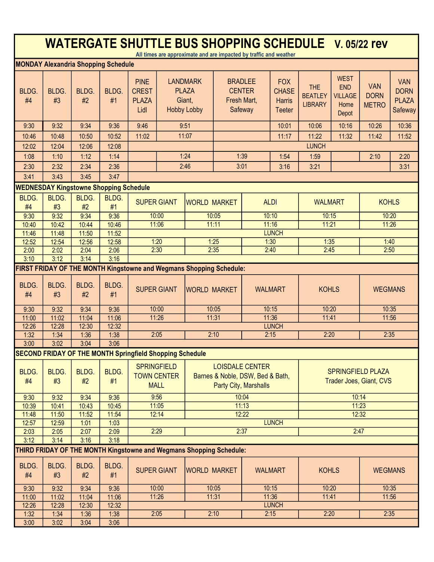| <b>WATERGATE SHUTTLE BUS SHOPPING SCHEDULE V. 05/22 rev</b><br>All times are approximate and are impacted by traffic and weather |                                                                 |                |                |                                                                                                                                                                                                              |                                                           |                                                                     |       |                                                           |                                                              |                                                |                                                              |                                           |                                                             |
|----------------------------------------------------------------------------------------------------------------------------------|-----------------------------------------------------------------|----------------|----------------|--------------------------------------------------------------------------------------------------------------------------------------------------------------------------------------------------------------|-----------------------------------------------------------|---------------------------------------------------------------------|-------|-----------------------------------------------------------|--------------------------------------------------------------|------------------------------------------------|--------------------------------------------------------------|-------------------------------------------|-------------------------------------------------------------|
| <b>MONDAY Alexandria Shopping Schedule</b>                                                                                       |                                                                 |                |                |                                                                                                                                                                                                              |                                                           |                                                                     |       |                                                           |                                                              |                                                |                                                              |                                           |                                                             |
| BLDG.<br>#4                                                                                                                      | BLDG.<br>#3                                                     | BLDG.<br>#2    | BLDG.<br>#1    | <b>PINE</b><br><b>CREST</b><br><b>PLAZA</b><br>Lidl                                                                                                                                                          |                                                           | <b>LANDMARK</b><br><b>PLAZA</b><br>Giant,<br><b>Hobby Lobby</b>     |       | <b>BRADLEE</b><br><b>CENTER</b><br>Fresh Mart,<br>Safeway | <b>FOX</b><br><b>CHASE</b><br><b>Harris</b><br><b>Teeter</b> | <b>THE</b><br><b>BEATLEY</b><br><b>LIBRARY</b> | <b>WEST</b><br><b>END</b><br><b>VILLAGE</b><br>Home<br>Depot | <b>VAN</b><br><b>DORN</b><br><b>METRO</b> | <b>VAN</b><br><b>DORN</b><br><b>PLAZA</b><br><b>Safeway</b> |
| 9:30                                                                                                                             | 9:32                                                            | 9:34           | 9:36           | 9:46                                                                                                                                                                                                         |                                                           | 9:51                                                                |       |                                                           | 10:01                                                        | 10:06                                          | 10:16                                                        | 10:26                                     | 10:36                                                       |
| 10:46                                                                                                                            | 10:48                                                           | 10:50          | 10:52          | 11:02                                                                                                                                                                                                        |                                                           | 11:07                                                               |       |                                                           | 11:17                                                        | 11:22                                          | 11:32                                                        | 11:42                                     | 11:52                                                       |
| 12:02                                                                                                                            | 12:04                                                           | 12:06          | 12:08          |                                                                                                                                                                                                              |                                                           |                                                                     |       | <b>LUNCH</b>                                              |                                                              |                                                |                                                              |                                           |                                                             |
| 1:08                                                                                                                             | 1:10                                                            | 1:12           | 1:14           |                                                                                                                                                                                                              |                                                           | 1:24                                                                |       | 1:39                                                      | 1:54                                                         | 1:59                                           |                                                              | 2:10                                      | 2:20                                                        |
| 2:30                                                                                                                             | 2:32                                                            | 2:34           | 2:36           |                                                                                                                                                                                                              |                                                           | 2:46<br>3:01                                                        |       |                                                           | 3:16                                                         | 3:21                                           |                                                              |                                           | 3:31                                                        |
| 3:41                                                                                                                             | 3:43                                                            | 3:45           | 3:47           |                                                                                                                                                                                                              |                                                           |                                                                     |       |                                                           |                                                              |                                                |                                                              |                                           |                                                             |
|                                                                                                                                  | <b>WEDNESDAY Kingstowne Shopping Schedule</b>                   |                |                |                                                                                                                                                                                                              |                                                           |                                                                     |       |                                                           |                                                              |                                                |                                                              |                                           |                                                             |
| BLDG.                                                                                                                            | BLDG.                                                           | <b>BLDG.</b>   | BLDG.          | <b>SUPER GIANT</b>                                                                                                                                                                                           |                                                           | <b>WORLD MARKET</b>                                                 |       |                                                           | <b>ALDI</b>                                                  | <b>WALMART</b>                                 |                                                              | <b>KOHLS</b>                              |                                                             |
| #4                                                                                                                               | #3                                                              | #2             | #1             |                                                                                                                                                                                                              |                                                           |                                                                     |       |                                                           |                                                              |                                                |                                                              |                                           |                                                             |
| 9:30                                                                                                                             | 9:32                                                            | 9:34           | 9:36           |                                                                                                                                                                                                              | 10:00                                                     |                                                                     | 10:05 |                                                           | 10:10                                                        | 10:15                                          |                                                              | 10:20                                     |                                                             |
| 10:40<br>11:46                                                                                                                   | 10:42<br>11:48                                                  | 10:44<br>11:50 | 10:46<br>11:52 |                                                                                                                                                                                                              | 11:16<br>11:06<br>11:11<br>11:21<br>11:26<br><b>LUNCH</b> |                                                                     |       |                                                           |                                                              |                                                |                                                              |                                           |                                                             |
| 12:52                                                                                                                            | 12:54                                                           | 12:56          | 12:58          |                                                                                                                                                                                                              | 1:30<br>1:20<br>1:25<br>1:35<br>1:40                      |                                                                     |       |                                                           |                                                              |                                                |                                                              |                                           |                                                             |
| 2:00                                                                                                                             | 2:02                                                            | 2:04           | 2:06           | 2:30<br>2:35                                                                                                                                                                                                 |                                                           |                                                                     | 2:40  |                                                           | 2:45                                                         |                                                | 2:50                                                         |                                           |                                                             |
| 3:10                                                                                                                             | 3:12                                                            | 3:14           | 3:16           |                                                                                                                                                                                                              |                                                           |                                                                     |       |                                                           |                                                              |                                                |                                                              |                                           |                                                             |
| FIRST FRIDAY OF THE MONTH Kingstowne and Wegmans Shopping Schedule:                                                              |                                                                 |                |                |                                                                                                                                                                                                              |                                                           |                                                                     |       |                                                           |                                                              |                                                |                                                              |                                           |                                                             |
| BLDG.<br>#4                                                                                                                      | BLDG.<br>#3                                                     | BLDG.<br>#2    | BLDG.<br>#1    | <b>SUPER GIANT</b>                                                                                                                                                                                           |                                                           | <b>WORLD MARKET</b>                                                 |       |                                                           | <b>WALMART</b>                                               | <b>KOHLS</b>                                   |                                                              | <b>WEGMANS</b>                            |                                                             |
| 9:30                                                                                                                             | 9:32                                                            | 9:34           | 9:36           |                                                                                                                                                                                                              | 10:00<br>10:05                                            |                                                                     |       |                                                           | 10:15                                                        | 10:20                                          |                                                              | 10:35                                     |                                                             |
| 11:00                                                                                                                            | 11:02                                                           | 11:04          | 11:06          | 11:26<br>11:31                                                                                                                                                                                               |                                                           |                                                                     |       |                                                           | 11:36                                                        | 11:41                                          |                                                              | 11:56                                     |                                                             |
| 12:26                                                                                                                            | 12:28                                                           | 12:30          | 12:32          |                                                                                                                                                                                                              | <b>LUNCH</b>                                              |                                                                     |       |                                                           |                                                              |                                                |                                                              |                                           |                                                             |
| 1:32                                                                                                                             | 1:34                                                            | 1:36           | 1:38           |                                                                                                                                                                                                              | 2:05                                                      |                                                                     | 2:10  |                                                           | 2:15                                                         | 2:20                                           |                                                              | 2:35                                      |                                                             |
| 3:00                                                                                                                             | 3:02                                                            | 3:04           | 3:06           |                                                                                                                                                                                                              |                                                           |                                                                     |       |                                                           |                                                              |                                                |                                                              |                                           |                                                             |
|                                                                                                                                  | <b>SECOND FRIDAY OF THE MONTH Springfield Shopping Schedule</b> |                |                |                                                                                                                                                                                                              |                                                           |                                                                     |       |                                                           |                                                              |                                                |                                                              |                                           |                                                             |
| BLDG.<br>#4                                                                                                                      | BLDG.<br>#3                                                     | BLDG.<br>#2    | BLDG.<br>#1    | <b>SPRINGFIELD</b><br><b>LOISDALE CENTER</b><br><b>SPRINGFIELD PLAZA</b><br><b>TOWN CENTER</b><br>Barnes & Noble, DSW, Bed & Bath,<br>Trader Joes, Giant, CVS<br><b>MALL</b><br><b>Party City, Marshalls</b> |                                                           |                                                                     |       |                                                           |                                                              |                                                |                                                              |                                           |                                                             |
| 9:30                                                                                                                             | 9:32                                                            | 9:34           | 9:36           | 9:56<br>10:04<br>10:14                                                                                                                                                                                       |                                                           |                                                                     |       |                                                           |                                                              |                                                |                                                              |                                           |                                                             |
| 10:39                                                                                                                            | 10:41                                                           | 10:43          | 10:45          | 11:13<br>11:23<br>11:05                                                                                                                                                                                      |                                                           |                                                                     |       |                                                           |                                                              |                                                |                                                              |                                           |                                                             |
| 11:48                                                                                                                            | 11:50                                                           | 11:52          | 11:54          | 12:22<br>12:32<br>12:14                                                                                                                                                                                      |                                                           |                                                                     |       |                                                           |                                                              |                                                |                                                              |                                           |                                                             |
| 12:57                                                                                                                            | 12:59                                                           | 1:01<br>2:07   | 1:03           |                                                                                                                                                                                                              | 2:29                                                      |                                                                     |       | 2:37                                                      | <b>LUNCH</b>                                                 |                                                | 2:47                                                         |                                           |                                                             |
| 2:03<br>3:12                                                                                                                     | 2:05<br>3:14                                                    | 3:16           | 2:09<br>3:18   |                                                                                                                                                                                                              |                                                           |                                                                     |       |                                                           |                                                              |                                                |                                                              |                                           |                                                             |
|                                                                                                                                  |                                                                 |                |                |                                                                                                                                                                                                              |                                                           | THIRD FRIDAY OF THE MONTH Kingstowne and Wegmans Shopping Schedule: |       |                                                           |                                                              |                                                |                                                              |                                           |                                                             |
| BLDG.<br>#4                                                                                                                      | BLDG.<br>#3                                                     | BLDG.<br>#2    | BLDG.<br>#1    | <b>SUPER GIANT</b>                                                                                                                                                                                           |                                                           | <b>WORLD MARKET</b>                                                 |       |                                                           | <b>WALMART</b>                                               | <b>KOHLS</b>                                   |                                                              | <b>WEGMANS</b>                            |                                                             |
| 9:30                                                                                                                             | 9:32                                                            | 9:34           | 9:36           |                                                                                                                                                                                                              | 10:00                                                     |                                                                     | 10:05 |                                                           | 10:15                                                        | 10:20                                          |                                                              | 10:35                                     |                                                             |
| 11:00                                                                                                                            | 11:02                                                           | 11:04          | 11:06          |                                                                                                                                                                                                              | 11:26                                                     |                                                                     | 11:31 |                                                           | 11:36                                                        | 11:41                                          |                                                              | 11:56                                     |                                                             |
| 12:26                                                                                                                            | 12:28                                                           | 12:30          | 12:32          |                                                                                                                                                                                                              |                                                           |                                                                     |       |                                                           | <b>LUNCH</b>                                                 |                                                |                                                              |                                           |                                                             |
| 1:32                                                                                                                             | 1:34                                                            | 1:36           | 1:38           |                                                                                                                                                                                                              | 2:05                                                      |                                                                     | 2:10  |                                                           | 2:15                                                         | 2:20                                           |                                                              |                                           | 2:35                                                        |
| 3:00                                                                                                                             | 3:02                                                            | 3:04           | 3:06           |                                                                                                                                                                                                              |                                                           |                                                                     |       |                                                           |                                                              |                                                |                                                              |                                           |                                                             |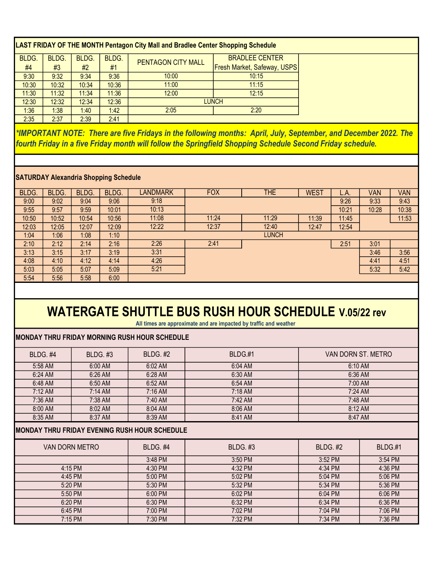| LAST FRIDAY OF THE MONTH Pentagon City Mall and Bradlee Center Shopping Schedule |       |       |       |                    |                                    |  |  |  |
|----------------------------------------------------------------------------------|-------|-------|-------|--------------------|------------------------------------|--|--|--|
| BLDG.                                                                            | BLDG. | BLDG. | BLDG. | PENTAGON CITY MALL | <b>BRADLEE CENTER</b>              |  |  |  |
| #4                                                                               | #3    | #2    | #1    |                    | <b>Fresh Market, Safeway, USPS</b> |  |  |  |
| 9:30                                                                             | 9:32  | 9:34  | 9:36  | 10:00              | 10:15                              |  |  |  |
| 10:30                                                                            | 10:32 | 10:34 | 10:36 | 11:00              | 11:15                              |  |  |  |
| 11:30                                                                            | 11:32 | 11:34 | 11:36 | 12:00              | 12:15                              |  |  |  |
| 12:30                                                                            | 12:32 | 12:34 | 12:36 | <b>LUNCH</b>       |                                    |  |  |  |
| 1:36                                                                             | 1:38  | 1:40  | 1.42  | 2:05               | 2:20                               |  |  |  |
| 2:35                                                                             | 2:37  | 2:39  | 2:41  |                    |                                    |  |  |  |

\*IMPORTANT NOTE: There are five Fridays in the following months: April, July, September, and December 2022. The fourth Friday in a five Friday month will follow the Springfield Shopping Schedule Second Friday schedule.

### SATURDAY Alexandria Shopping Schedule

| BLDG. | <b>BLDG.</b> | BLDG. | BLDG. | <b>ANDMARK</b> | <b>FOX</b> | <b>THE</b>   | <b>WEST</b> | L.A.  | Van   | VAN   |
|-------|--------------|-------|-------|----------------|------------|--------------|-------------|-------|-------|-------|
| 9:00  | 9:02         | 9:04  | 9:06  | 9:18           |            |              |             | 9:26  | 9:33  | 9:43  |
| 9:55  | 9:57         | 9.59  | 10:01 | 10:13          |            |              |             | 10:21 | 10:28 | 10:38 |
| 10:50 | 10:52        | 10:54 | 10:56 | 11:08          | 11:24      | 11:29        | 11:39       | 11:45 |       | 11:53 |
| 12:03 | 12:05        | 12:07 | 12:09 | 12:22          | 12:37      | 12:40        | 12:47       | 12:54 |       |       |
| 1:04  | 1:06         | 1:08  | 1:10  |                |            | <b>LUNCH</b> |             |       |       |       |
| 2:10  | 2:12         | 2:14  | 2:16  | 2:26           | 2:41       |              |             | 2:51  | 3:01  |       |
| 3:13  | 3:15         | 3:17  | 3:19  | 3:31           |            |              |             |       | 3:46  | 3:56  |
| 4:08  | 4:10         | 4:12  | 4:14  | 4:26           |            |              |             |       | 4:41  | 4:51  |
| 5:03  | 5:05         | 5:07  | 5:09  | 5:21           |            |              |             |       | 5:32  | 5:42  |
| 5:54  | 5:56         | 5:58  | 6:00  |                |            |              |             |       |       |       |

# WATERGATE SHUTTLE BUS RUSH HOUR SCHEDULE V.05/22 rev

All times are approximate and are impacted by traffic and weather

#### MONDAY THRU FRIDAY MORNING RUSH HOUR SCHEDULE

| BLDG. #4<br><b>BLDG. #3</b>                           |                       | <b>BLDG. #2</b> | BLDG.#1         | VAN DORN ST. METRO |         |  |  |  |
|-------------------------------------------------------|-----------------------|-----------------|-----------------|--------------------|---------|--|--|--|
| 5:58 AM<br>6:00 AM                                    |                       | 6:02 AM         | 6:04 AM         | 6:10 AM            |         |  |  |  |
| 6:24 AM                                               | 6:26 AM               |                 | 6:30 AM         | 6:36 AM            |         |  |  |  |
| 6:48 AM                                               | 6:50 AM               |                 | 6:54 AM         | 7:00 AM            |         |  |  |  |
| 7:12 AM                                               | $7:14 \, \text{AM}$   |                 | 7:18 AM         | 7:24 AM            |         |  |  |  |
| 7:36 AM                                               | 7:38 AM               |                 | 7:42 AM         | 7:48 AM            |         |  |  |  |
| 8:00 AM                                               | 8:02 AM               | 8:04 AM         | 8:06 AM         | 8:12 AM            |         |  |  |  |
| 8:35 AM                                               | 8:37 AM               | 8:39 AM         | 8:41 AM         | 8:47 AM            |         |  |  |  |
| <b>IMONDAY THRU FRIDAY EVENING RUSH HOUR SCHEDULE</b> |                       |                 |                 |                    |         |  |  |  |
|                                                       | <b>VAN DORN METRO</b> | <b>BLDG. #4</b> | <b>BLDG. #3</b> | <b>BLDG. #2</b>    | BLDG.#1 |  |  |  |
|                                                       |                       | 3:48 PM         | 3:50 PM         | 3:52 PM            | 3:54 PM |  |  |  |
|                                                       | 4:15 PM               | 4:30 PM         | 4:32 PM         | 4:34 PM            | 4:36 PM |  |  |  |
|                                                       | 4:45 PM               | 5:00 PM         | 5:02 PM         | 5:04 PM            | 5:06 PM |  |  |  |
|                                                       | 5:20 PM               | 5:30 PM         | 5:32 PM         | 5:34 PM            | 5:36 PM |  |  |  |
|                                                       | 5:50 PM               | 6:00 PM         | 6:02 PM         | 6:04 PM            | 6:06 PM |  |  |  |
|                                                       | 6:20 PM               | 6:30 PM         | 6:32 PM         | 6:34 PM            | 6:36 PM |  |  |  |
|                                                       | 6:45 PM               | 7:00 PM         | 7:02 PM         | 7:04 PM            | 7:06 PM |  |  |  |
|                                                       | $7:15$ PM             | 7:30 PM         | 7:32 PM         | 7:34 PM            | 7:36 PM |  |  |  |